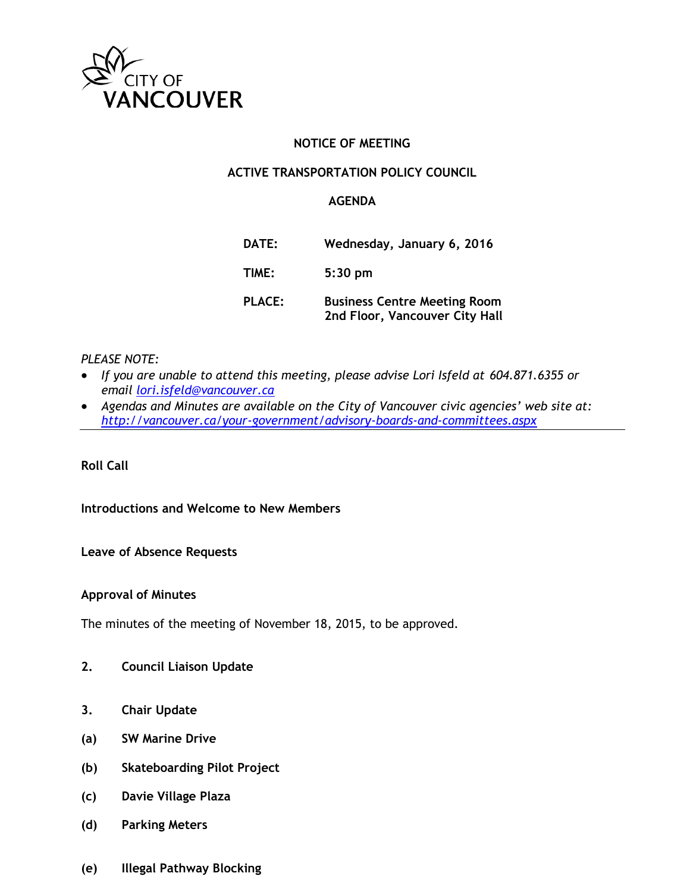

### **NOTICE OF MEETING**

### **ACTIVE TRANSPORTATION POLICY COUNCIL**

### **AGENDA**

| DATE:         | Wednesday, January 6, 2016                                            |
|---------------|-----------------------------------------------------------------------|
| TIME:         | $5:30$ pm                                                             |
| <b>PLACE:</b> | <b>Business Centre Meeting Room</b><br>2nd Floor, Vancouver City Hall |

### *PLEASE NOTE:*

- *If you are unable to attend this meeting, please advise Lori Isfeld at 604.871.6355 or email [lori.isfeld@vancouver.ca](mailto:lori.isfeld@vancouver.ca)*
- *Agendas and Minutes are available on the City of Vancouver civic agencies' web site at: <http://vancouver.ca/your-government/advisory-boards-and-committees.aspx>*

**Roll Call** 

**Introductions and Welcome to New Members**

**Leave of Absence Requests**

**Approval of Minutes**

The minutes of the meeting of November 18, 2015, to be approved.

- **2. Council Liaison Update**
- **3. Chair Update**
- **(a) SW Marine Drive**
- **(b) Skateboarding Pilot Project**
- **(c) Davie Village Plaza**
- **(d) Parking Meters**
- **(e) Illegal Pathway Blocking**